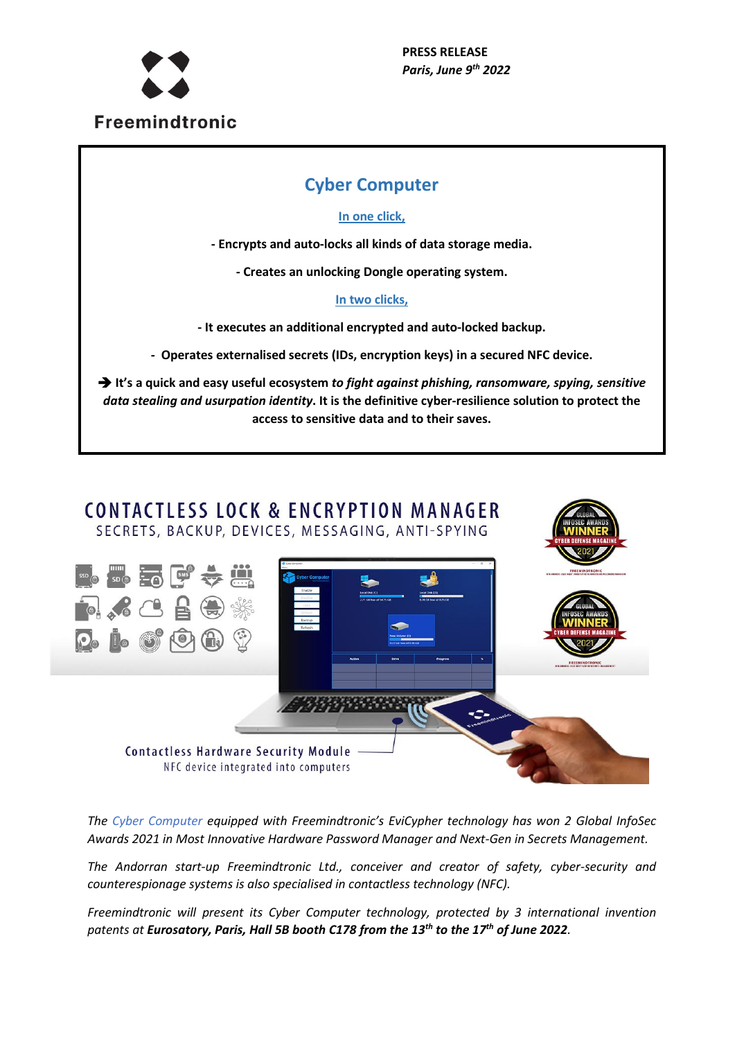

# **Cyber Computer**

### **In one click,**

**- Encrypts and auto-locks all kinds of data storage media.** 

**- Creates an unlocking Dongle operating system.**

### **In two clicks,**

**- It executes an additional encrypted and auto-locked backup.**

**- Operates externalised secrets (IDs, encryption keys) in a secured NFC device.**

 **It's a quick and easy useful ecosystem** *to fight against phishing, ransomware, spying, sensitive data stealing and usurpation identity***. It is the definitive cyber-resilience solution to protect the access to sensitive data and to their saves.** 



*The Cyber Computer equipped with Freemindtronic's EviCypher technology has won 2 Global InfoSec Awards 2021 in Most Innovative Hardware Password Manager and Next-Gen in Secrets Management.*

*The Andorran start-up Freemindtronic Ltd., conceiver and creator of safety, cyber-security and counterespionage systems is also specialised in contactless technology (NFC).*

*Freemindtronic will present its Cyber Computer technology, protected by 3 international invention patents at Eurosatory, Paris, Hall 5B booth C178 from the 13th to the 17th of June 2022.*